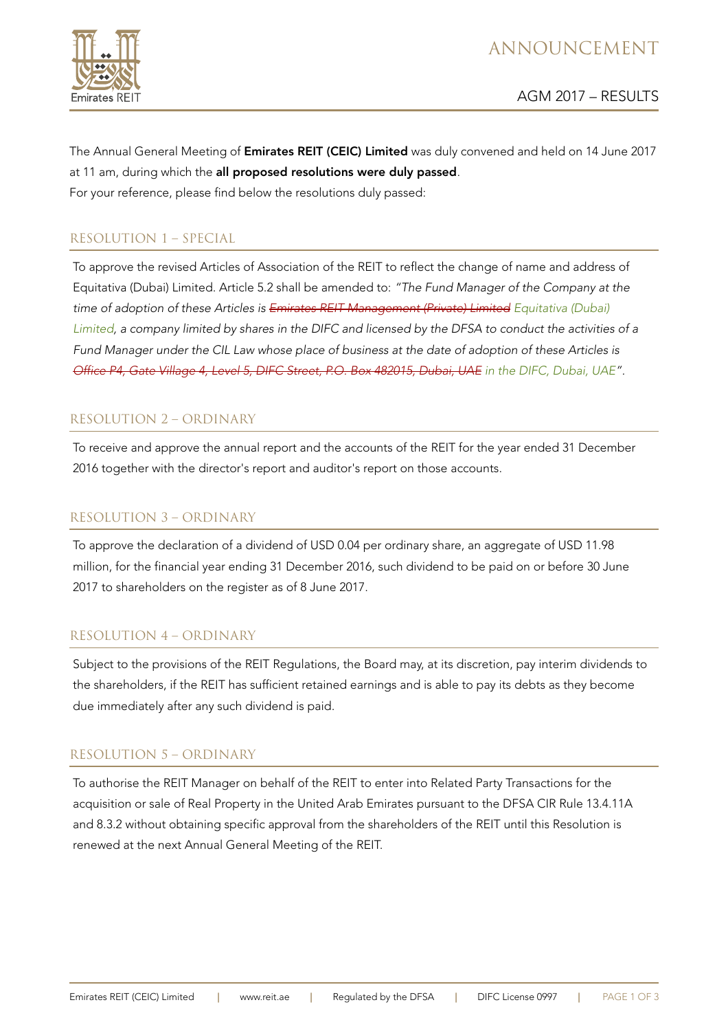

# ANNOUNCEMENT

The Annual General Meeting of Emirates REIT (CEIC) Limited was duly convened and held on 14 June 2017 at 11 am, during which the all proposed resolutions were duly passed. For your reference, please find below the resolutions duly passed:

# RESOLUTION 1 – SPECIAL

To approve the revised Articles of Association of the REIT to reflect the change of name and address of Equitativa (Dubai) Limited. Article 5.2 shall be amended to: "The Fund Manager of the Company at the time of adoption of these Articles is Emirates REIT Management (Private) Limited Equitativa (Dubai) Limited, a company limited by shares in the DIFC and licensed by the DFSA to conduct the activities of a Fund Manager under the CIL Law whose place of business at the date of adoption of these Articles is Office P4, Gate Village 4, Level 5, DIFC Street, P.O. Box 482015, Dubai, UAE in the DIFC, Dubai, UAE".

# RESOLUTION 2 – ORDINARY

To receive and approve the annual report and the accounts of the REIT for the year ended 31 December 2016 together with the director's report and auditor's report on those accounts.

# RESOLUTION 3 – ORDINARY

To approve the declaration of a dividend of USD 0.04 per ordinary share, an aggregate of USD 11.98 million, for the financial year ending 31 December 2016, such dividend to be paid on or before 30 June 2017 to shareholders on the register as of 8 June 2017.

# RESOLUTION 4 – ORDINARY

Subject to the provisions of the REIT Regulations, the Board may, at its discretion, pay interim dividends to the shareholders, if the REIT has sufficient retained earnings and is able to pay its debts as they become due immediately after any such dividend is paid.

# RESOLUTION 5 – ORDINARY

To authorise the REIT Manager on behalf of the REIT to enter into Related Party Transactions for the acquisition or sale of Real Property in the United Arab Emirates pursuant to the DFSA CIR Rule 13.4.11A and 8.3.2 without obtaining specific approval from the shareholders of the REIT until this Resolution is renewed at the next Annual General Meeting of the REIT.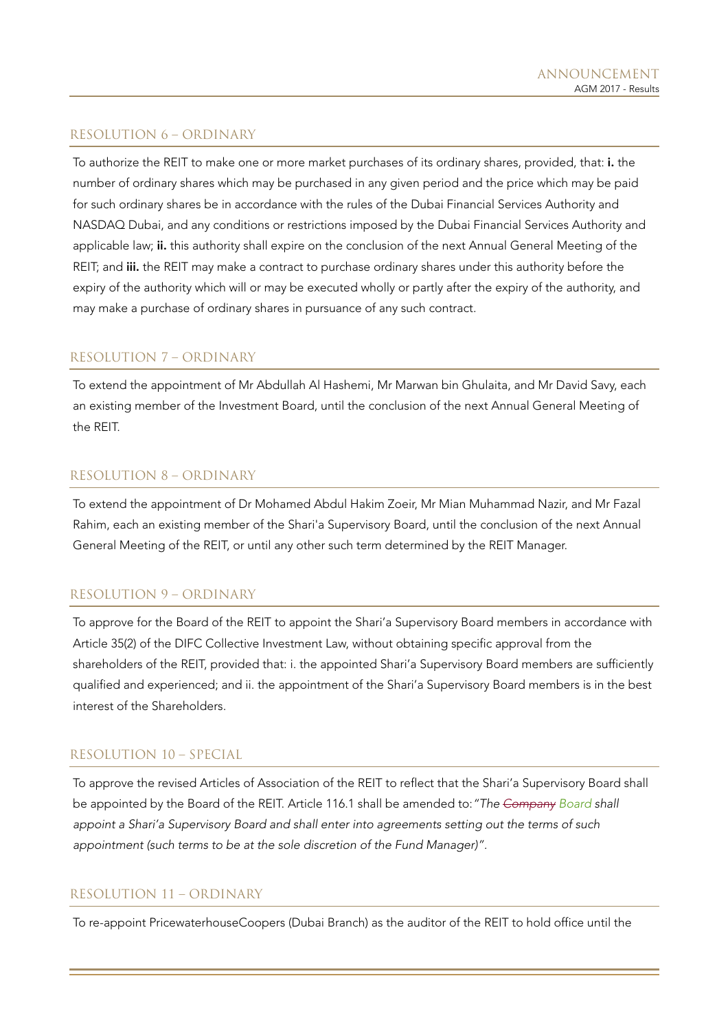## RESOLUTION 6 – ORDINARY

To authorize the REIT to make one or more market purchases of its ordinary shares, provided, that: i. the number of ordinary shares which may be purchased in any given period and the price which may be paid for such ordinary shares be in accordance with the rules of the Dubai Financial Services Authority and NASDAQ Dubai, and any conditions or restrictions imposed by the Dubai Financial Services Authority and applicable law; ii. this authority shall expire on the conclusion of the next Annual General Meeting of the REIT; and iii. the REIT may make a contract to purchase ordinary shares under this authority before the expiry of the authority which will or may be executed wholly or partly after the expiry of the authority, and may make a purchase of ordinary shares in pursuance of any such contract.

### RESOLUTION 7 – ORDINARY

To extend the appointment of Mr Abdullah Al Hashemi, Mr Marwan bin Ghulaita, and Mr David Savy, each an existing member of the Investment Board, until the conclusion of the next Annual General Meeting of the REIT.

#### RESOLUTION 8 – ORDINARY

To extend the appointment of Dr Mohamed Abdul Hakim Zoeir, Mr Mian Muhammad Nazir, and Mr Fazal Rahim, each an existing member of the Shari'a Supervisory Board, until the conclusion of the next Annual General Meeting of the REIT, or until any other such term determined by the REIT Manager.

#### RESOLUTION 9 – ORDINARY

To approve for the Board of the REIT to appoint the Shari'a Supervisory Board members in accordance with Article 35(2) of the DIFC Collective Investment Law, without obtaining specific approval from the shareholders of the REIT, provided that: i. the appointed Shari'a Supervisory Board members are sufficiently qualified and experienced; and ii. the appointment of the Shari'a Supervisory Board members is in the best interest of the Shareholders.

## RESOLUTION 10 – SPECIAL

To approve the revised Articles of Association of the REIT to reflect that the Shari'a Supervisory Board shall be appointed by the Board of the REIT. Article 116.1 shall be amended to: "The Company Board shall appoint a Shari'a Supervisory Board and shall enter into agreements setting out the terms of such appointment (such terms to be at the sole discretion of the Fund Manager)".

#### RESOLUTION 11 – ORDINARY

To re-appoint PricewaterhouseCoopers (Dubai Branch) as the auditor of the REIT to hold office until the